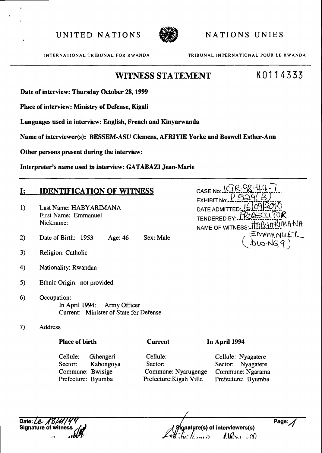

NATIONS UNIES

INTERNATIONAL TRIBUNAL FOR RWANDA

TRIBUNAL INTERNATIONAL POUR LE RWANDA

CASE No. 1CR98-44-7.

TENDERED BY: FROSECUTOR

NAME OF WITNESS: ITABUARIMANA

EMMANUEL

DATE ADMITTED:

## **WITNESS STATEMENT**

# K0114333

Date of interview: Thursday October 28, 1999

Place of interview: Ministry of Defense, Kigali

Languages used in interview: English, French and Kinyarwanda

Name of interviewer(s): BESSEM-ASU Clemens, AFRIYIE Yorke and Boswell Esther-Ann

Other persons present during the interview:

Interpreter's name used in interview: GATABAZI Jean-Marie

#### **IDENTIFICATION OF WITNESS**  $\mathbf{I}$ :

- $1)$ Last Name: HABYARIMANA First Name: Emmanuel Nickname<sup>.</sup>
- $2)$ Date of Birth: 1953 Age: 46 Sex: Male
- Religion: Catholic  $3)$
- $4)$ Nationality: Rwandan
- $5)$ Ethnic Origin: not provided
- $6)$ Occupation: In April 1994: Army Officer Current: Minister of State for Defense
- **Address**  $7)$

**Place of birth** 

Cellule: Gihengeri Sector: Kabongoya Commune: Bwisige Prefecture: Byumba

**Current** 

Cellule: Sector: Commune: Nyarugenge Prefecture: Kigali Ville

In April 1994

Cellule: Nyagatere Sector: Nyagatere Commune: Ngarama Prefecture: Byumba

Date:  $\ell$  /2 **Signature of** 

ignature(s) of interviewers(s)  $10 - 00$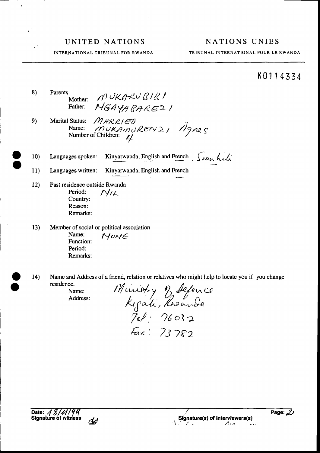#### NATIONS UNIES

TRIBUNAL INTERNATIONAL POUR LE RWANDA

## K0114334

Page:  $\mathscr{L}$ 

 $\sim$ 

Signature(s) of interviewers(s)

 $\mathcal{L}$ 

INTERNATIONAL TRIBUNAL FOR RWANDA

 $8)$ Parents MUKARUBIBI Mother: MGAYABARE21 Father:

- MARRIED 9) Marital Status: Name:  $MURAMUREYY21$  Agnes
- Kinyarwanda, English and French, Saon hili  $10<sub>1</sub>$ Languages spoken:
- $11)$ Languages written: Kinyarwanda, English and French
- $12)$ Past residence outside Rwanda Period:  $N/L$ Country: Reason: Remarks:
- $13)$ Member of social or political association Name: NOME Function: Period: Remarks:
- $14)$ Name and Address of a friend, relation or relatives who might help to locate you if you change residence.

Name: Address:

Munistry of Sefence<br>Kigadi, Rusanda<br>Jel: 76032  $F_{\alpha x}$ : 73782

Date: 18/11/94<br>Signature of witness

dø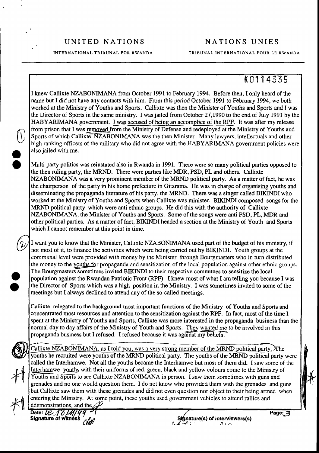INTERNATIONAL TRIBUNAL FOR RWANDA

#### NATIONS UNIES

TRIBUNAL INTERNATIONAL POUR LE RWANDA

# K0114335

 $\mathbf{I}$ 

I knew Callixte NZABONMANA from October 1991 to February 1994. Before then, I only heard of the name but I did not have any contacts with him. From this period October 1991 to February 1994, we both worked at the Ministry of Youths and Sports. Callixte was then the Minister of Youths and Sports and I was the Director of Sports in the same ministry. I was jailed from October 27,1990 to the end of July 1991 by the HABYARIMANA government. I was accused of being an accomplice of the RPF. It was aftermy release from prison that I was removed from the Ministry of Defense and redeployed at the Ministry of Youths and Sports of which Callixte<sup>-</sup>NZABONIMANA was the then Minister. Many lawyers, intellectuals and other high ranking officers of the military who did not agree with the HABYARIMANA government policies were also jailed with me.

Multi party politics was reinstated also in Rwanda in 1991. There were so many political parties opposed to the then ruling party, the MRND. There were parties like MDR, PSD, PL and others. Callixte NZABONMANA was a very prominent member of the MRND political party. As a matter of fact, he was the chairperson of the party in his home prefecture in Gitarama. He was in charge of organising youths and disseminating the propaganda literature of his party, the MRND. There was a singer called BIKINDI who worked at the Ministry of Youths and Sports when Callixte was minister. BIKINDI composed songs for the MRND political party which were anti ethnic groups. He did this with the authority of Callixte NZABONIMANA, the Minister of Youths and Sports. Some of the songs were anti PSD, PL, MDR and other political parties. As a matter of fact, BIKINDI headed a section at the Ministry of Youth and Sports which I cannot remember at this point in time.

I want you to know that the Minister, Callixte NZABONMANA used part of the budget of his ministry, if not most of it, to finance the activities which were being carried out by BIKINDI. Youth groups at the communal level were provided with money by the Minister through Bourgmasters who in turn distributed the money to the youths for propaganda and sensitization of the local population against other ethnic groups. The Bourgmasters sometimes invited BIKINDI to their respective communes to sensitize the local population against the Rwandan Patriotic Front (RPF). I knew most of what I am telling you because Iwas the Director of Sports which was a high position in the Ministry. I was sometimes invited to some of the meetings but I always declined to attend any of the so-called meetings.

Callixte relegated to the background most important functions of the Ministry of Youths and Sports and concentrated most resources and attention to the sensitization against the RPF. In fact, most of the time I spent at the Ministry of Youths and Sports, Callixte was more interested in the propaganda business than the normal day to day affairs of the Ministry of Youth and Sports. They wanted me to be involved in this propaganda business but I refused. I refused because it was a "g<sup>------</sup> belief:

Callixte NZABONIMANA, as I told you, was a very strong member of the MRND political party. The youths he recruited were youths of the MRND political party. The youths of the MRND political party were called the Interhamwe. Not all the youths became the Interhamwe but most of them did. I saw some of the Interhamwe youths with their uniforms of red, green, black and yellow colours come to the Ministry of Youths and Sports to see Callixte NZABONIMANA in person. I saw them sometimes with guns and grenades and no one would question them. I do not know who provided them with the grenades and guns but Callixte saw them with these grenades and did not even question nor object to their being arrned when entering the Ministry. At some point, these youths used govemment vehicles to attend rallies and  $\begin{picture}(120,120)(-0,0) \put(0,0){\vector(0,1){30}} \put(15,0){\vector(0,1){30}} \put(15,0){\vector(0,1){30}} \put(15,0){\vector(0,1){30}} \put(15,0){\vector(0,1){30}} \put(15,0){\vector(0,1){30}} \put(15,0){\vector(0,1){30}} \put(15,0){\vector(0,1){30}} \put(15,0){\vector(0,1){30}} \put(15,0){\vector(0,1){30}} \put(15,0){\vector(0,1){30}} \put(15$  $*$ 

ddemonstrations, and the (Yall

 $\bigcirc$ 

a o

o

o

Signature(s) of interviewers(s) ll t n